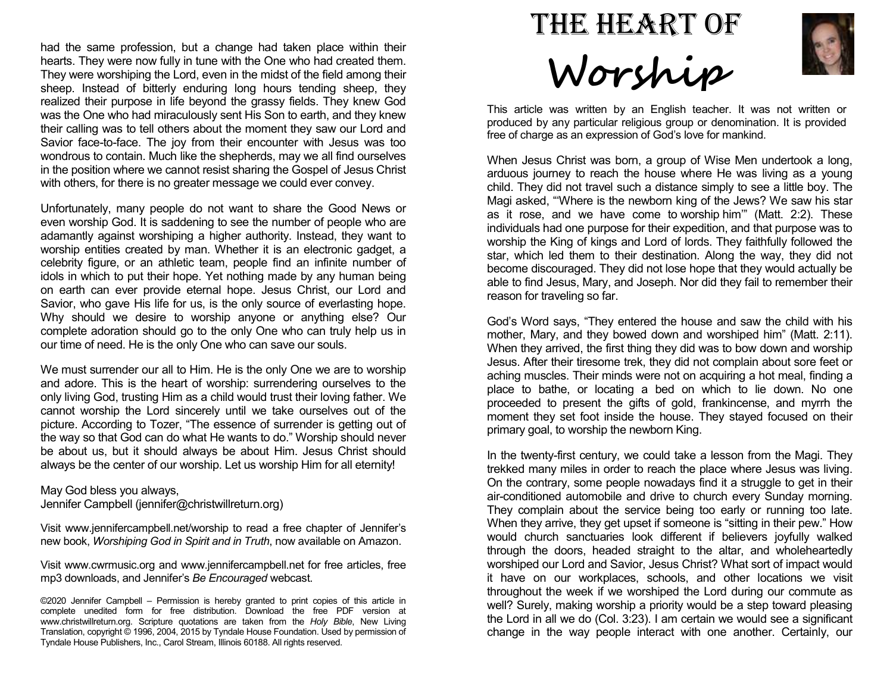had the same profession, but a change had taken place within their hearts. They were now fully in tune with the One who had created them. They were worshiping the Lord, even in the midst of the field among their sheep. Instead of bitterly enduring long hours tending sheep, they realized their purpose in life beyond the grassy fields. They knew God was the One who had miraculously sent His Son to earth, and they knew their calling was to tell others about the moment they saw our Lord and Savior face-to-face. The joy from their encounter with Jesus was too wondrous to contain. Much like the shepherds, may we all find ourselves in the position where we cannot resist sharing the Gospel of Jesus Christ with others, for there is no greater message we could ever convey.

Unfortunately, many people do not want to share the Good News or even worship God. It is saddening to see the number of people who are adamantly against worshiping a higher authority. Instead, they want to worship entities created by man. Whether it is an electronic gadget, a celebrity figure, or an athletic team, people find an infinite number of idols in which to put their hope. Yet nothing made by any human being on earth can ever provide eternal hope. Jesus Christ, our Lord and Savior, who gave His life for us, is the only source of everlasting hope. Why should we desire to worship anyone or anything else? Our complete adoration should go to the only One who can truly help us in our time of need. He is the only One who can save our souls.

We must surrender our all to Him. He is the only One we are to worship and adore. This is the heart of worship: surrendering ourselves to the only living God, trusting Him as a child would trust their loving father. We cannot worship the Lord sincerely until we take ourselves out of the picture. According to Tozer, "The essence of surrender is getting out of the way so that God can do what He wants to do." Worship should never be about us, but it should always be about Him. Jesus Christ should always be the center of our worship. Let us worship Him for all eternity!

## May God bless you always,

Jennifer Campbell (jennifer@christwillreturn.org)

Visit www.jennifercampbell.net/worship to read a free chapter of Jennifer's new book, Worshiping God in Spirit and in Truth, now available on Amazon.

Visit www.cwrmusic.org and www.jennifercampbell.net for free articles, free mp3 downloads, and Jennifer's Be Encouraged webcast.

©2020 Jennifer Campbell – Permission is hereby granted to print copies of this article in complete unedited form for free distribution. Download the free PDF version at www.christwillreturn.org. Scripture quotations are taken from the Holy Bible, New Living Translation, copyright © 1996, 2004, 2015 by Tyndale House Foundation. Used by permission of Tyndale House Publishers, Inc., Carol Stream, Illinois 60188. All rights reserved.





This article was written by an English teacher. It was not written or produced by any particular religious group or denomination. It is provided free of charge as an expression of God's love for mankind.

When Jesus Christ was born, a group of Wise Men undertook a long, arduous journey to reach the house where He was living as a young child. They did not travel such a distance simply to see a little boy. The Magi asked, "'Where is the newborn king of the Jews? We saw his star as it rose, and we have come to worship him'" (Matt. 2:2). These individuals had one purpose for their expedition, and that purpose was to worship the King of kings and Lord of lords. They faithfully followed the star, which led them to their destination. Along the way, they did not become discouraged. They did not lose hope that they would actually be able to find Jesus, Mary, and Joseph. Nor did they fail to remember their reason for traveling so far.

God's Word says, "They entered the house and saw the child with his mother, Mary, and they bowed down and worshiped him" (Matt. 2:11). When they arrived, the first thing they did was to bow down and worship Jesus. After their tiresome trek, they did not complain about sore feet or aching muscles. Their minds were not on acquiring a hot meal, finding a place to bathe, or locating a bed on which to lie down. No one proceeded to present the gifts of gold, frankincense, and myrrh the moment they set foot inside the house. They stayed focused on their primary goal, to worship the newborn King.

In the twenty-first century, we could take a lesson from the Magi. They trekked many miles in order to reach the place where Jesus was living. On the contrary, some people nowadays find it a struggle to get in their air-conditioned automobile and drive to church every Sunday morning. They complain about the service being too early or running too late. When they arrive, they get upset if someone is "sitting in their pew." How would church sanctuaries look different if believers joyfully walked through the doors, headed straight to the altar, and wholeheartedly worshiped our Lord and Savior, Jesus Christ? What sort of impact would it have on our workplaces, schools, and other locations we visit throughout the week if we worshiped the Lord during our commute as well? Surely, making worship a priority would be a step toward pleasing the Lord in all we do (Col. 3:23). I am certain we would see a significant change in the way people interact with one another. Certainly, our